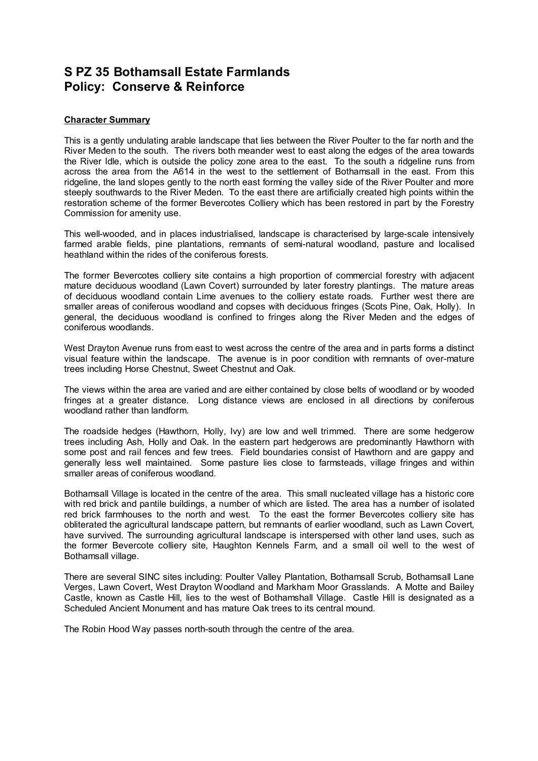## **S PZ 35 Bothamsall Estate Farmlands Policy: Conserve & Reinforce**

## **Character Summary**

This is a gently undulating arable landscape that lies between the River Poulter to the far north and the River Meden to the south. The rivers both meander west to east along the edges of the area towards the River Idle, which is outside the policy zone area to the east. To the south a ridgeline runs from across the area from the A614 in the west to the settlement of Bothamsall in the east. From this ridgeline, the land slopes gently to the north east forming the valley side of the River Poulter and more steeply southwards to the River Meden. To the east there are artificially created high points within the restoration scheme of the former Bevercotes Colliery which has been restored in part by the Forestry Commission for amenity use.

This well-wooded, and in places industrialised, landscape is characterised by large-scale intensively farmed arable fields, pine plantations, remnants of semi-natural woodland, pasture and localised heathland within the rides of the coniferous forests.

The former Bevercotes colliery site contains a high proportion of commercial forestry with adjacent mature deciduous woodland (Lawn Covert) surrounded by later forestry plantings. The mature areas of deciduous woodland contain Lime avenues to the colliery estate roads. Further west there are smaller areas of coniferous woodland and copses with deciduous fringes (Scots Pine, Oak, Holly). In general, the deciduous woodland is confined to fringes along the River Meden and the edges of coniferous woodlands.

West Drayton Avenue runs from east to west across the centre of the area and in parts forms a distinct visual feature within the landscape. The avenue is in poor condition with remnants of over-mature trees including Horse Chestnut, Sweet Chestnut and Oak.

The views within the area are varied and are either contained by close belts of woodland or by wooded fringes at a greater distance. Long distance views are enclosed in all directions by coniferous woodland rather than landform.

The roadside hedges (Hawthorn, Holly, Ivy) are low and well trimmed. There are some hedgerow trees including Ash, Holly and Oak. In the eastern part hedgerows are predominantly Hawthorn with some post and rail fences and few trees. Field boundaries consist of Hawthorn and are gappy and generally less well maintained. Some pasture lies close to farmsteads, village fringes and within smaller areas of coniferous woodland.

Bothamsall Village is located in the centre of the area. This small nucleated village has a historic core with red brick and pantile buildings, a number of which are listed. The area has a number of isolated red brick farmhouses to the north and west. To the east the former Bevercotes colliery site has obliterated the agricultural landscape pattern, but remnants of earlier woodland, such as Lawn Covert, have survived. The surrounding agricultural landscape is interspersed with other land uses, such as the former Bevercote colliery site, Haughton Kennels Farm, and a small oil well to the west of Bothamsall village.

There are several SINC sites including: Poulter Valley Plantation, Bothamsall Scrub, Bothamsall Lane Verges, Lawn Covert, West Drayton Woodland and Markham Moor Grasslands. A Motte and Bailey Castle, known as Castle Hill, lies to the west of Bothamshall Village. Castle Hill is designated as a Scheduled Ancient Monument and has mature Oak trees to its central mound.

The Robin Hood Way passes north-south through the centre of the area.